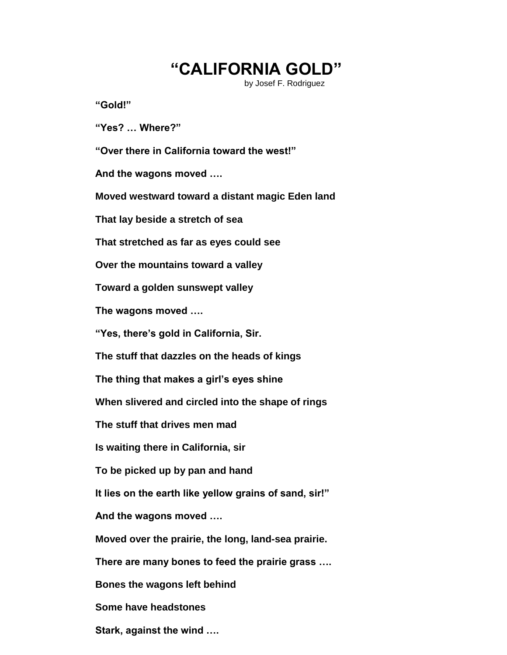## **"CALIFORNIA GOLD"**

by Josef F. Rodriguez

**"Gold!"**

**"Yes? … Where?"**

**"Over there in California toward the west!"**

**And the wagons moved ….**

**Moved westward toward a distant magic Eden land**

**That lay beside a stretch of sea**

**That stretched as far as eyes could see**

**Over the mountains toward a valley**

**Toward a golden sunswept valley**

**The wagons moved ….**

**"Yes, there's gold in California, Sir.**

**The stuff that dazzles on the heads of kings**

**The thing that makes a girl's eyes shine**

**When slivered and circled into the shape of rings**

**The stuff that drives men mad**

**Is waiting there in California, sir**

**To be picked up by pan and hand**

**It lies on the earth like yellow grains of sand, sir!"**

**And the wagons moved ….**

**Moved over the prairie, the long, land-sea prairie.**

**There are many bones to feed the prairie grass ….**

**Bones the wagons left behind**

**Some have headstones**

**Stark, against the wind ….**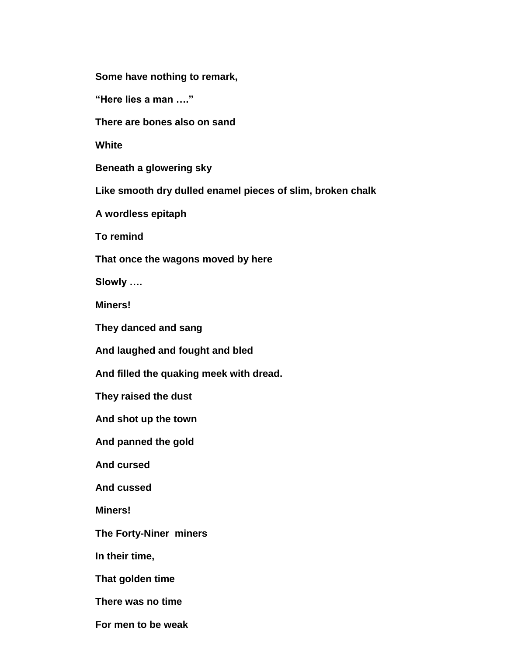**Some have nothing to remark,**

**"Here lies a man …."**

**There are bones also on sand**

**White**

**Beneath a glowering sky**

**Like smooth dry dulled enamel pieces of slim, broken chalk**

**A wordless epitaph**

**To remind**

**That once the wagons moved by here**

**Slowly ….**

**Miners!**

**They danced and sang**

**And laughed and fought and bled**

**And filled the quaking meek with dread.**

**They raised the dust**

**And shot up the town**

**And panned the gold**

**And cursed** 

**And cussed**

**Miners!**

**The Forty-Niner miners**

**In their time,**

**That golden time**

**There was no time**

**For men to be weak**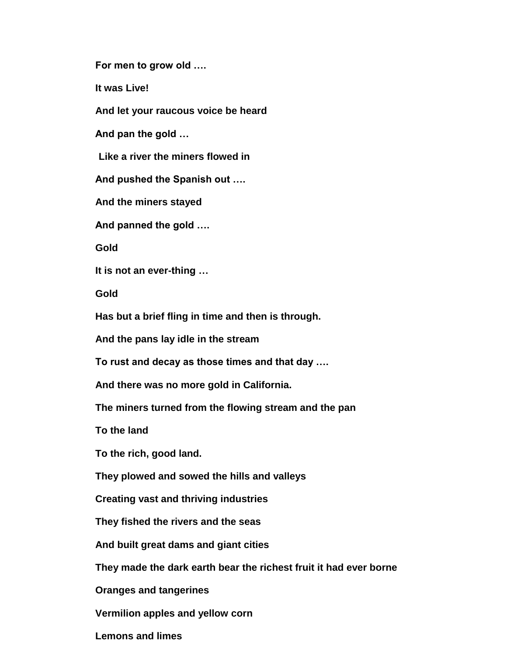**For men to grow old ….**

**It was Live!**

**And let your raucous voice be heard**

**And pan the gold …**

 **Like a river the miners flowed in**

**And pushed the Spanish out ….**

**And the miners stayed**

**And panned the gold ….**

**Gold**

**It is not an ever-thing …**

**Gold**

**Has but a brief fling in time and then is through.**

**And the pans lay idle in the stream**

**To rust and decay as those times and that day ….**

**And there was no more gold in California.**

**The miners turned from the flowing stream and the pan**

**To the land**

**To the rich, good land.**

**They plowed and sowed the hills and valleys**

**Creating vast and thriving industries**

**They fished the rivers and the seas**

**And built great dams and giant cities**

**They made the dark earth bear the richest fruit it had ever borne**

**Oranges and tangerines**

**Vermilion apples and yellow corn**

**Lemons and limes**